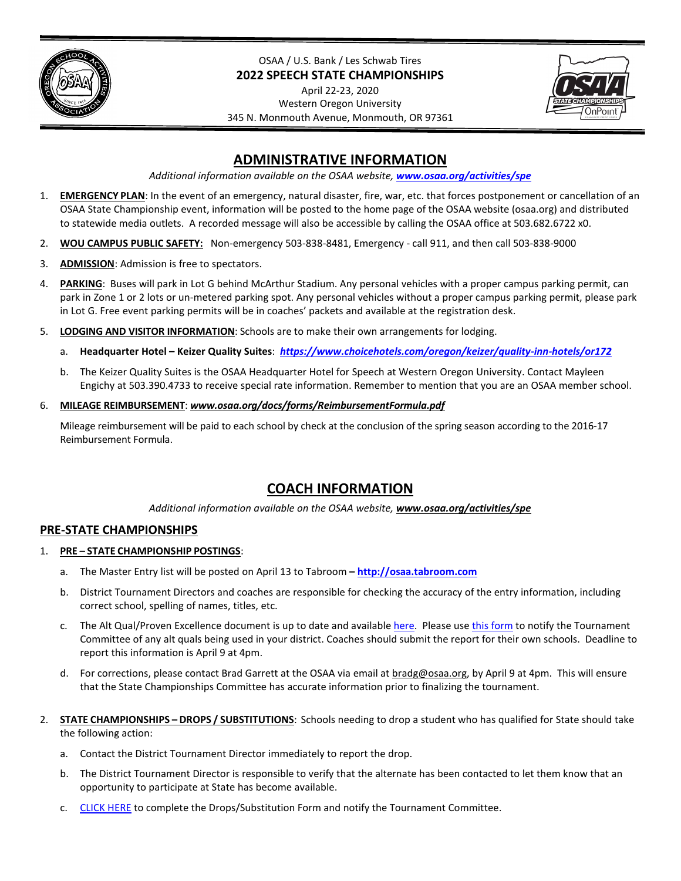

OSAA / U.S. Bank / Les Schwab Tires **2022 SPEECH STATE CHAMPIONSHIPS**

April 22-23, 2020 Western Oregon University 345 N. Monmouth Avenue, Monmouth, OR 97361



# **ADMINISTRATIVE INFORMATION**

*Additional information available on the OSAA website, [www.osaa.org/activities/spe](http://www.osaa.org/activities/spe)*

- 1. **EMERGENCY PLAN**: In the event of an emergency, natural disaster, fire, war, etc. that forces postponement or cancellation of an OSAA State Championship event, information will be posted to the home page of the OSAA website (osaa.org) and distributed to statewide media outlets. A recorded message will also be accessible by calling the OSAA office at 503.682.6722 x0.
- 2. **WOU CAMPUS PUBLIC SAFETY:** Non-emergency 503-838-8481, Emergency call 911, and then call 503-838-9000
- 3. **ADMISSION**: Admission is free to spectators.
- 4. **PARKING**: Buses will park in Lot G behind McArthur Stadium. Any personal vehicles with a proper campus parking permit, can park in Zone 1 or 2 lots or un-metered parking spot. Any personal vehicles without a proper campus parking permit, please park in Lot G. Free event parking permits will be in coaches' packets and available at the registration desk.
- 5. **LODGING AND VISITOR INFORMATION**: Schools are to make their own arrangements for lodging.
	- a. **Headquarter Hotel Keizer Quality Suites**: *<https://www.choicehotels.com/oregon/keizer/quality-inn-hotels/or172>*
	- b. The Keizer Quality Suites is the OSAA Headquarter Hotel for Speech at Western Oregon University. Contact Mayleen Engichy at 503.390.4733 to receive special rate information. Remember to mention that you are an OSAA member school.
- 6. **MILEAGE REIMBURSEMENT**: *www.osaa.org/docs/forms/ReimbursementFormula.pdf*

Mileage reimbursement will be paid to each school by check at the conclusion of the spring season according to the 2016-17 Reimbursement Formula.

# **COACH INFORMATION**

*Additional information available on the OSAA website, [www.osaa.org/activities/spe](http://www.osaa.org/activities/spe)*

## **PRE-STATE CHAMPIONSHIPS**

- 1. **PRE – STATE CHAMPIONSHIP POSTINGS**:
	- a. The Master Entry list will be posted on April 13 to Tabroom **[http://osaa.tabroom.com](http://osaa.tabroom.com/)**
	- b. District Tournament Directors and coaches are responsible for checking the accuracy of the entry information, including correct school, spelling of names, titles, etc.
	- c. The Alt Qual/Proven Excellence document is up to date and available [here.](https://docs.google.com/spreadsheets/d/1GjpgQGmrx2jfUGL3XJSgRoJOBByv07C4kcTAICHxryc/edit?usp=sharing) Please us[e this form](https://docs.google.com/forms/d/e/1FAIpQLSddpvsRyqduMZ5zYiHa-6gVQUoKcPFvRTv1vcQRZggnsgkVvw/viewform) to notify the Tournament Committee of any alt quals being used in your district. Coaches should submit the report for their own schools. Deadline to report this information is April 9 at 4pm.
	- d. For corrections, please contact Brad Garrett at the OSAA via email at **bradg@osaa.org**, by April 9 at 4pm. This will ensure that the State Championships Committee has accurate information prior to finalizing the tournament.
- 2. **STATE CHAMPIONSHIPS – DROPS / SUBSTITUTIONS**: Schools needing to drop a student who has qualified for State should take the following action:
	- a. Contact the District Tournament Director immediately to report the drop.
	- b. The District Tournament Director is responsible to verify that the alternate has been contacted to let them know that an opportunity to participate at State has become available.
	- c. [CLICK HERE](https://docs.google.com/forms/d/e/1FAIpQLSfMJ9-DKMN6DPM2mLgF00SRryxhuTRPY3hWROg5MWZ4DPcUNQ/viewform) to complete the Drops/Substitution Form and notify the Tournament Committee.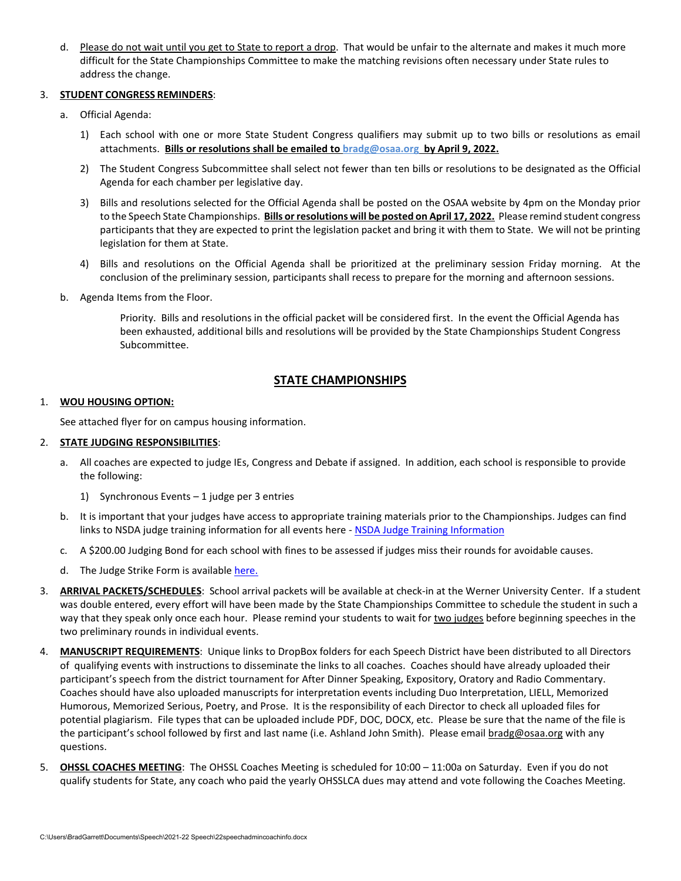d. Please do not wait until you get to State to report a drop. That would be unfair to the alternate and makes it much more difficult for the State Championships Committee to make the matching revisions often necessary under State rules to address the change.

#### 3. **STUDENT CONGRESS REMINDERS**:

- a. Official Agenda:
	- 1) Each school with one or more State Student Congress qualifiers may submit up to two bills or resolutions as email attachments. **Bills or resolutions shall be emailed to [bradg@osaa.org](mailto:bradg@osaa.org) by April 9, 2022.**
	- 2) The Student Congress Subcommittee shall select not fewer than ten bills or resolutions to be designated as the Official Agenda for each chamber per legislative day.
	- 3) Bills and resolutions selected for the Official Agenda shall be posted on the OSAA website by 4pm on the Monday prior to the Speech State Championships. **Bills or resolutions will be posted on April 17, 2022.** Please remind student congress participants that they are expected to print the legislation packet and bring it with them to State. We will not be printing legislation for them at State.
	- 4) Bills and resolutions on the Official Agenda shall be prioritized at the preliminary session Friday morning. At the conclusion of the preliminary session, participants shall recess to prepare for the morning and afternoon sessions.
- b. Agenda Items from the Floor.

Priority. Bills and resolutions in the official packet will be considered first. In the event the Official Agenda has been exhausted, additional bills and resolutions will be provided by the State Championships Student Congress Subcommittee.

## **STATE CHAMPIONSHIPS**

#### 1. **WOU HOUSING OPTION:**

See attached flyer for on campus housing information.

#### 2. **STATE JUDGING RESPONSIBILITIES**:

- a. All coaches are expected to judge IEs, Congress and Debate if assigned. In addition, each school is responsible to provide the following:
	- 1) Synchronous Events 1 judge per 3 entries
- b. It is important that your judges have access to appropriate training materials prior to the Championships. Judges can find links to NSDA judge training information for all events here - [NSDA Judge Training Information](https://www.speechanddebate.org/judge-training/)
- c. A \$200.00 Judging Bond for each school with fines to be assessed if judges miss their rounds for avoidable causes.
- d. The Judge Strike Form is available [here.](https://docs.google.com/forms/d/e/1FAIpQLSfUUurAewiAZJ8XKTTB2ApyGcjo22SENkOZkdIBwtaUfibyMg/viewform)
- 3. **ARRIVAL PACKETS/SCHEDULES**: School arrival packets will be available at check-in at the Werner University Center. If a student was double entered, every effort will have been made by the State Championships Committee to schedule the student in such a way that they speak only once each hour. Please remind your students to wait for two judges before beginning speeches in the two preliminary rounds in individual events.
- 4. **MANUSCRIPT REQUIREMENTS**: Unique links to DropBox folders for each Speech District have been distributed to all Directors of qualifying events with instructions to disseminate the links to all coaches. Coaches should have already uploaded their participant's speech from the district tournament for After Dinner Speaking, Expository, Oratory and Radio Commentary. Coaches should have also uploaded manuscripts for interpretation events including Duo Interpretation, LIELL, Memorized Humorous, Memorized Serious, Poetry, and Prose. It is the responsibility of each Director to check all uploaded files for potential plagiarism. File types that can be uploaded include PDF, DOC, DOCX, etc. Please be sure that the name of the file is the participant's school followed by first and last name (i.e. Ashland John Smith). Please email [bradg@osaa.org](mailto:peterw@osaa.org) with any questions.
- 5. **OHSSL COACHES MEETING**: The OHSSL Coaches Meeting is scheduled for 10:00 11:00a on Saturday. Even if you do not qualify students for State, any coach who paid the yearly OHSSLCA dues may attend and vote following the Coaches Meeting.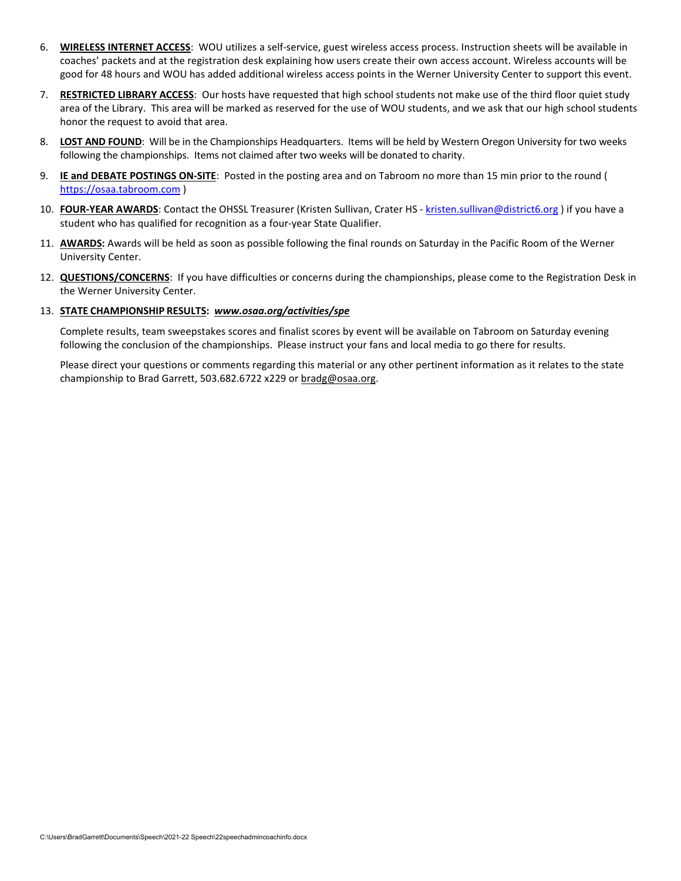- 6. **WIRELESS INTERNET ACCESS**: WOU utilizes a self-service, guest wireless access process. Instruction sheets will be available in coaches' packets and at the registration desk explaining how users create their own access account. Wireless accounts will be good for 48 hours and WOU has added additional wireless access points in the Werner University Center to support this event.
- 7. **RESTRICTED LIBRARY ACCESS**: Our hosts have requested that high school students not make use of the third floor quiet study area of the Library. This area will be marked as reserved for the use of WOU students, and we ask that our high school students honor the request to avoid that area.
- 8. **LOST AND FOUND**: Will be in the Championships Headquarters. Items will be held by Western Oregon University for two weeks following the championships. Items not claimed after two weeks will be donated to charity.
- 9. **IE and DEBATE POSTINGS ON-SITE**: Posted in the posting area and on Tabroom no more than 15 min prior to the round ( [https://osaa.tabroom.com](https://osaa.tabroom.com/) )
- 10. **FOUR-YEAR AWARDS**: Contact the OHSSL Treasurer (Kristen Sullivan, Crater HS - [kristen.sullivan@district6.org](mailto:kristen.sullivan@district6.org) ) if you have a student who has qualified for recognition as a four-year State Qualifier.
- 11. **AWARDS:** Awards will be held as soon as possible following the final rounds on Saturday in the Pacific Room of the Werner University Center.
- 12. **QUESTIONS/CONCERNS**: If you have difficulties or concerns during the championships, please come to the Registration Desk in the Werner University Center.

#### 13. **STATE CHAMPIONSHIP RESULTS:** *[www.osaa.org/activities/spe](http://www.osaa.org/activities/spe)*

Complete results, team sweepstakes scores and finalist scores by event will be available on Tabroom on Saturday evening following the conclusion of the championships. Please instruct your fans and local media to go there for results.

Please direct your questions or comments regarding this material or any other pertinent information as it relates to the state championship to Brad Garrett, 503.682.6722 x229 o[r bradg@osaa.org.](mailto:bradg@osaa.org)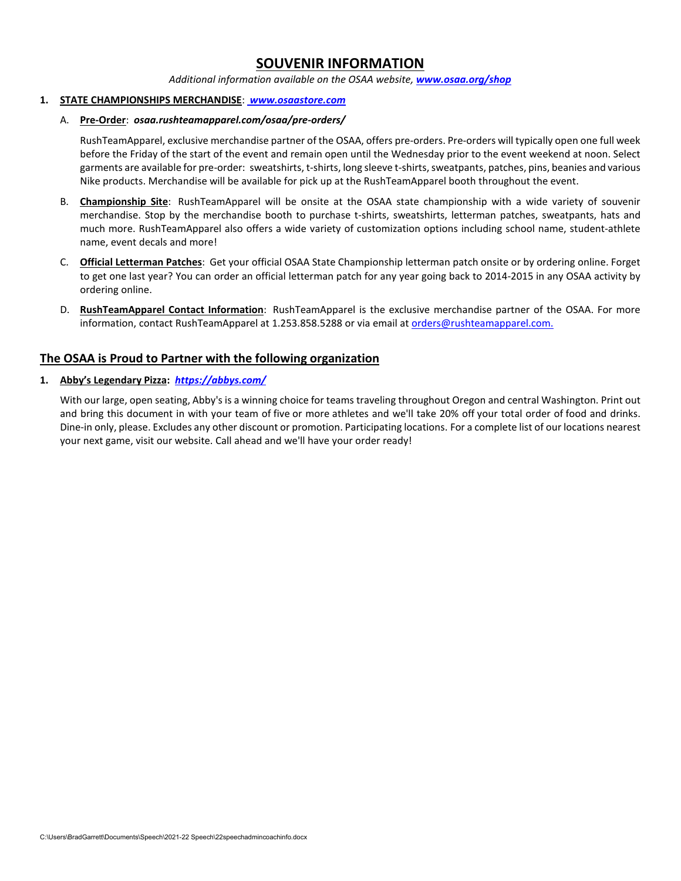# **SOUVENIR INFORMATION**

#### *Additional information available on the OSAA website, [www.osaa.org/shop](https://www.osaa.org/shop)*

#### **1. STATE CHAMPIONSHIPS MERCHANDISE**: *[www.osaastore.com](https://www.osaastore.com/)*

#### A. **Pre-Order**:*osaa.rushteamapparel.com/osaa/pre-orders/*

RushTeamApparel, exclusive merchandise partner of the OSAA, offers pre-orders. Pre-orders will typically open one full week before the Friday of the start of the event and remain open until the Wednesday prior to the event weekend at noon. Select garments are available for pre-order: sweatshirts, t-shirts, long sleeve t-shirts, sweatpants, patches, pins, beanies and various Nike products. Merchandise will be available for pick up at the RushTeamApparel booth throughout the event.

- B. **Championship Site**: RushTeamApparel will be onsite at the OSAA state championship with a wide variety of souvenir merchandise. Stop by the merchandise booth to purchase t-shirts, sweatshirts, letterman patches, sweatpants, hats and much more. RushTeamApparel also offers a wide variety of customization options including school name, student-athlete name, event decals and more!
- C. **Official Letterman Patches**: Get your official OSAA State Championship letterman patch onsite or by ordering online. Forget to get one last year? You can order an official letterman patch for any year going back to 2014-2015 in any OSAA activity by ordering online.
- D. **RushTeamApparel Contact Information**: RushTeamApparel is the exclusive merchandise partner of the OSAA. For more information, contact RushTeamApparel at 1.253.858.5288 or via email at [orders@rushteamapparel.com.](mailto:orders@rushteamapparel.com)

### **The OSAA is Proud to Partner with the following organization**

### **1. Abby's Legendary Pizza:** *[https://abbys.com/](http://www.abbys.com/)*

With our large, open seating, Abby's is a winning choice for teams traveling throughout Oregon and central Washington. Print out and bring this document in with your team of five or more athletes and we'll take 20% off your total order of food and drinks. Dine-in only, please. Excludes any other discount or promotion. Participating locations. For a complete list of our locations nearest your next game, visit our website. Call ahead and we'll have your order ready!